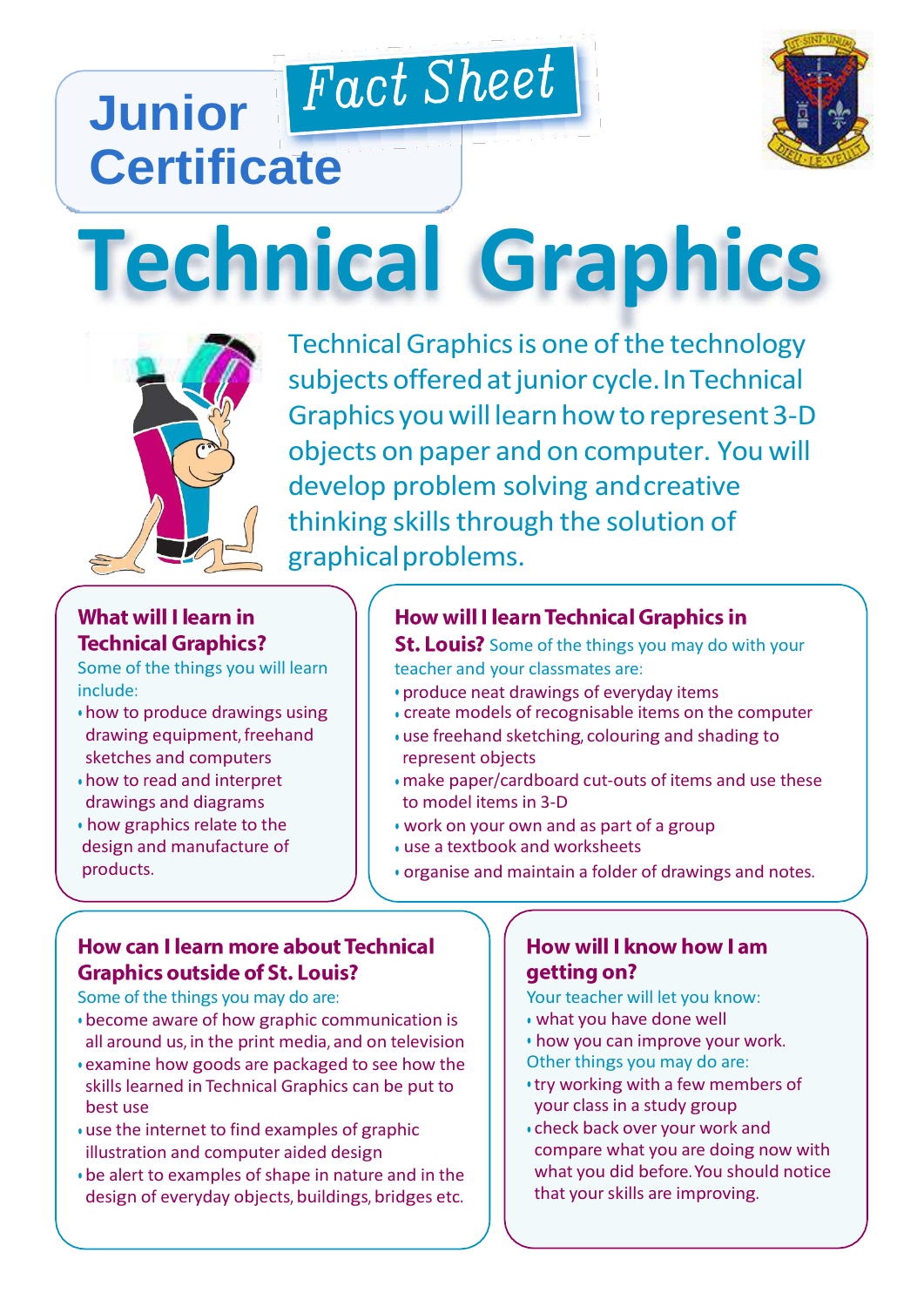# Fact Sheet **Junior Certificate**



# **Technical Graphics**



Technical Graphics is one of the technology subjects offered at junior cycle. In Technical Graphics you will learn how to represent 3-D objects on paper and on computer. You will develop problem solving andcreative thinking skills through the solution of graphicalproblems.

# **What will I learn in Technical Graphics?**

Some of the things you will learn include:

- how to produce drawings using drawing equipment, freehand sketches and computers
- how to read and interpret drawings and diagrams
- how graphics relate to the design and manufacture of products.

# **How will I learn Technical Graphics in**

**St. Louis?** Some of the things you may do with your teacher and your classmates are:

- produce neat drawings of everyday items
- create models of recognisable items on the computer
- use freehand sketching, colouring and shading to represent objects
- make paper/cardboard cut-outs of items and use these to model items in 3-D
- work on your own and as part of a group
- use a textbook and worksheets
- organise and maintain a folder of drawings and notes.

## How can I learn more about Technical **Graphics outside of St. Louis?**

Some of the things you may do are:

- become aware of how graphic communication is all around us, in the print media, and on television
- examine how goods are packaged to see how the skills learned in Technical Graphics can be put to best use
- use the internet to find examples of graphic illustration and computer aided design
- be alert to examples of shape in nature and in the design of everyday objects, buildings, bridges etc.

#### How will I know how I am getting on?

Your teacher will let you know:

- what you have done well
- how you can improve your work. Other things you may do are:
- try working with a few members of your class in a study group
- check back over your work and compare what you are doing now with what you did before.You should notice that your skills are improving.